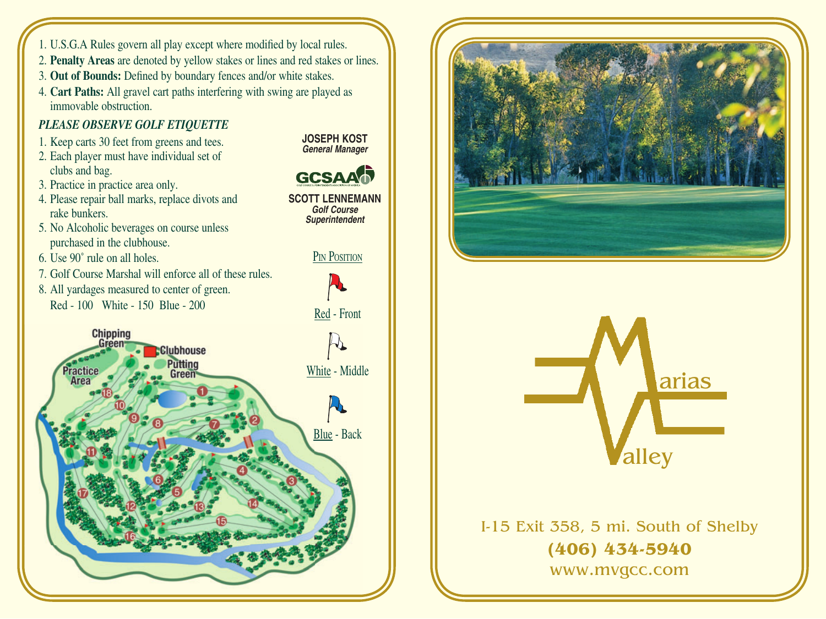- 1. U.S.G.A Rules govern all play except where modified by local rules.
- 2. **Penalty Areas** are denoted by yellow stakes or lines and red stakes or lines.
- 3. Out of Bounds: Defined by boundary fences and/or white stakes.
- 4. **Cart Paths:** All gravel cart paths interfering with swing are played as immovable obstruction.

## *PLEASE OBSERVE GOLF ETIQUETTE*

- 1. Keep carts 30 feet from greens and tees.
- 2. Each player must have individual set of clubs and bag.
- 3. Practice in practice area only.
- 4. Please repair ball marks, replace divots and rake bunkers.
- 5. No Alcoholic beverages on course unless purchased in the clubhouse.
- 6. Use 90˚ rule on all holes.
- 7. Golf Course Marshal will enforce all of these rules.
- 8. All yardages measured to center of green. Red - 100 White - 150 Blue - 200







I-15 Exit 358, 5 mi. South of Shelby **(406) 434-5940** www.mvgcc.com

**SCOTT LENNEMANN** *Golf Course Superintendent*

**JOSEPH KOST** *General Manager*

**GCSAA<sup>N</sup>** 

PIN POSITION